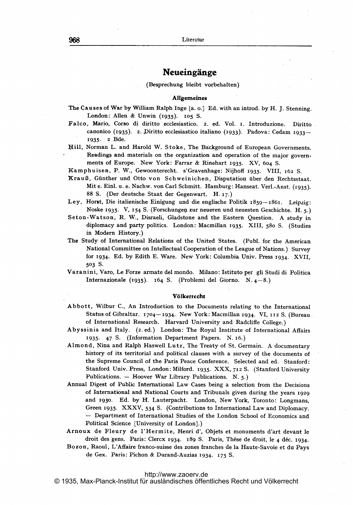# Neueingänge

#### (Besprechung bleibt vorbehalten)

## Allgemeines

- The Causes of War by William Ralph Inge [a. o.] Ed. with an introd. by H. J. Stenning. London: Allen & Unwin (1935). 105 S.
- Falco, Mario, Corso di diritto ecelesiastico. 2. ed. Vol. i. Introduzione. Diritto canonico (1935). 2. Diritto ecclesiastico italiano (1933). Padova: Cedam 1933- 1935- <sup>2</sup> Bde.
- Ifill, Norman L. and Harold W. Stoke, The Background of European Governments. Readings and materials on the organization and operation of the major governments of Europe. New York: Farrar & Rinehart 1935. XV, <sup>604</sup> S.

Kamphuisen, P. W., Gewoonterecht. s'Gravenhage: Nijhoff 1935. VIII, 162 S.

- KrauB, Giinther und Otto von Schweinichen, Disputation iiber den Rechtsstaat. Mit e. Eipl. u. e. Nachw. von Carl Schmitt. Hamburg: Hanseat. Verl.-Anst. (1935)- 88 S. (Der deutsche Staat der Gegenwart. H. 17.)
- Ley, Horst, Die italienische Einigung und die englische Politik 1859-1861. Leipzig: Noske 1935. V, 154 S. (Forschungen zur neueren und neuesten Geschichte. H. 5.)
- Seton-Watson, R. W., Disraeli, Gladstone and the Eastern Question. A study in diplomacy and party politics. London: Macmillan 1935. XIII, 58o S. (Studies in Modern History.)
- The Study of International Relations of the United States. (Publ. for the American National Committee on Intellectual Cooperation of the League of Nations.) Survey for 1934. Ed. by Edith E. Ware. New York: Columbia. Univ. Press 1934. XVIL 503 S.
- Varanini, Varo, Le Forze armate del mondo. Milano: Istituto per gli Studi di Politica Internazionale (1935). 164 S. (Problemi del Giorno. N.  $4-8$ .)

### V61kerrccht

- Abbott, Wilbur C., An Introduction to the Documents relating to the International Status of Gibraltar. 1704- 1934. New York: Macmillan 1934. VI, <sup>i</sup> <sup>12</sup> S. (Bureau of International Research. Harvard University and Radcliffe College.)
- Abyssinia and Italy. (2. ed.) London: The Royal Institute of International Affairs 1935. 47 S. (Information Department Papers. N. 16.)
- Almond, Nina and Ralph Haswell Lutz, The Treaty of St. Germain. A documentary history of its territorial and political clauses with <sup>a</sup> survey of the documents of the Supreme Council of the Paris Peace Conference. Selected and ed. Stanford: Stanford Univ. Press, London: Milford. 1935. XXX, <sup>712</sup> S. (Stanford University Publications. - Hoover War Library Publications. N. 5.)
- Annual Digest of Public International Law Cases being a selection from the Decisions of International and National Courts and Tribunals given during the years <sup>1929</sup> and 1930. Ed. by H. Lauterpacht. London, New York, Toronto: Longmans, Green 1935. XXXV, <sup>534</sup> S. (Contributions to International Law and Diplomacy. - Department of International Studies of the London School of Economics and Political Science [University of London].)
- Arnoux de Fleury de 1'Hermite, Henri d', Objets et monuments d'art devant le droit des gens. Paris: Clercx 1934. 189 S. Paris, Thèse de droit, le 4 déc. 1934.
- Bozon, Raoul, L'Affaire franco-suisse des zones franches de la Haute-Savoie et du Pays de Gex. Paris: Pichon & Durand-Auzias 1934. 175 S.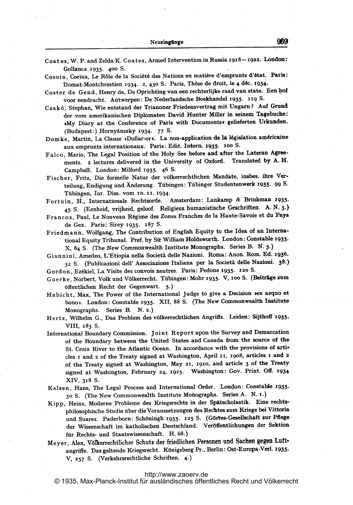Coates, W. P. and Zelda K. Coates, Armed Intervention in Russia 1918-1922. London: Gollancz 1935. 400 S.

- Cosoiu, Corina, Le Rôle de la Société des Nations en matière d'emprunts d'état. Paris: Domat-Montchrestien 1934. 2, 430 S. Paris, Thèse de droit, le 4 déc. 1934.
- Coster de Gend, Henry de, De Oprichting van een rechterlijke raad van state. Een hof voor eendracht. Antwerpen: De Nederlandsche Boekhandel 1935. 119 S.

Czakó, Stephan, Wie entstand der Trianoner Friedensvertrag mit Ungarn? Auf Grund der vom amerikanischen Diplomaten David Hunter Miller in seinem Tagebuche: »My Diary at the Conference of Paris with Documents« gelieferten Urkunden. (Budapest:) Hornyánszky 1934. 77 S.

Domke, Martin, La Clause »Dollar-or«. La non-application de la législation américaine aux emprunts internationaux. Paris: Edit. Intern. 1935. 100 S.

- Falco, Mario, The Legal Position of the Holy See before and after the Lateran Agreements. 2 lectures delivered in the University of Oxford. Translated by A.H. Campbell. London: Milford 1935. 46 S.
- Fischer, Fritz, Die formelle Natur der völkerrechtlichen Mandate, insbes. ihre Verteilung, Endigung und Änderung. Tübingen: Tübinger Studentenwerk 1935. 99 S. Tübingen, Iur. Diss. vom 10. 11. 1934.
- Fortuin, H., Internationale Rechtsorde. Amsterdam: Lankamp & Brinkman 1935. 45 S. (Eenheid, vrijheid, geloof. Religieus humanistische Geschriften. A. N. 3.)
- Francoz, Paul, Le Nouveau Régime des Zones Franches de la Haute-Savoie et du Pays de Gex. Paris: Sirey 1935. 187 S.
- Friedmann, Wolfgang, The Contribution of English Equity to the Idea of an International Equity Tribunal. Pref. by Sir William Holdsworth. London: Constable 1935. X, 84 S. (The New Commonwealth Institute Monographs. Series B. N. 5.)
- Giannini, Amedeo, L'Etiopia nella Società delle Nazioni. Roma: Anon. Rom. Ed. 1936. 32 S. (Publicazioni dell' Associazione Italiana per la Società delle Nazioni. 38.)

Gordon, Ezékiel, La Visite des convois neutres. Paris: Pedone 1935. 120 S.

Guerke, Norbert, Volk und Völkerrecht. Tübingen: Mohr 1935. V, 100 S. (Beiträge zum öffentlichen Recht der Gegenwart. 5.)

Habicht, Max, The Power of the International Judge to give a Decision vex aequo et bono«. London: Constable 1935. XII, 88 S. (The New Commonwealth Institute Monographs. Series B. N. 2.)

Hertz, Wilhelm G., Das Problem des völkerrechtlichen Angriffs. Leiden: Sijthoff 1935. VIII, 183 S.

- International Boundary Commission. Joint Report upon the Survey and Demarcation of the Boundary between the United States and Canada from the source of the St. Croix River to the Atlantic Ocean. In accordance with the provisions of arti+ cles I and 2 of the Treaty signed at Washington, April II, 1908, articles I and 2 of the Treaty signed at Washington, May 21, 1910, and article 3 of the Treaty signed at Washington, February 24, 1925. Washington: Gov. Print. Off. 1934 XIV, 318 S.
- Kelsen, Hans, The Legal Process and International Order. London: Constable 1935. 30 S. (The New Commonwealth Institute Monographs. Series A. N. I.)
- Kipp, Heinz, Moderne Probleme des Kriegsrechts in der Spätscholastik. Eine rechtsphilosophische Studie über die Voraussetzungen des Rechtes zum Kriege bei Vittoria und Suarez. Paderborn: Schöningh 1935. 125 S. (Görtes-Gesellschaft zur Pflege der Wissenschaft im katholischen Deutschland. Veröffentlichungen der Sektion für Rechts- und Staatswissenschaft. H. 68.)
- Meyer, Alex, Völkerrechtlicher Schutz der friedlichen Personen und Sachen gegen Luftangriffe. Das geltende Kriegsrecht. Königsberg Pr., Berlin: Ost-Europa-Verl. 1935. V, 257 S. (Verkehrsrechtliche Schriften. 4.)

#### http://www.zaoerv.de

© 1935. Max-Planck-Institut für ausländisches öffentliches Recht und Völkerrecht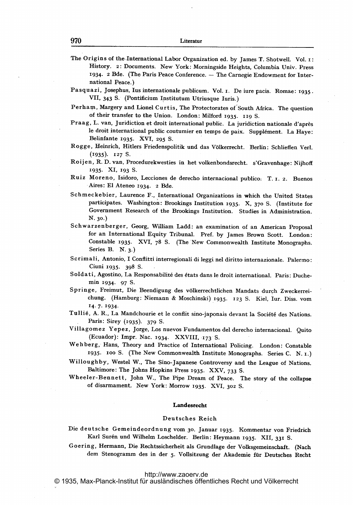The Origins of the.International Labor Organization ed. by James T. Shotwell. Vol. i: History. 2: Documents. New York: Morningside Heights, Columbia Univ. Press 1934. 2 Bde. (The Paris Peace Conference. — The Carnegie Endowment for International Peace.)

Pasquazi, josephus, lus internationale publicum. Vol. i. De iure pacis. Romae: 1935. VIL <sup>343</sup> S. (Pontificium Ipstitutum Utriusque luris.)

Perham, Margery and Lionel Curtis, The Protectorates of South Africa. The question of their transfer to the Union. London: Milford 1935. 119 S.

Praag, L. van, Juridiction et droit international public. La juridiction nationale d'après le droit international public coutumier en temps de paix. Supplément. La Haye: Belinfante 1935. XVI, 295 S.

- Roijen, R. D. van, Procedurekwesties in het volkenbondsrecht. s'Gravenhage: Nijhoff 1935- XI, 193 S.
- Ruiz Moreno, Isidoro, Lecciones de derecho internacional publico. T. 1. 2. Buenos Aires: El Ateneo 1934. 2 Bde.
- Schmeckebier, Laurence F., International Organizations in which the United States participates. Washington: Brookings Institution 1935. X, 370 S. (Institute for Government Research of the Brookings Institution. Studies in Administration. N. 30.)
- Schwarzenberger, Georg, William Ladd: an examination of an American Proposal for an International Equity Tribunal. Pref. by James Brown Scott. London: Constable 1935. XVI, 78 S. (The New Commonwealth Institute Monographs. Series B. N. 3.)

Scrimali, Antonio, I Conflitti interregionali di leggi nel diritto internazionale. Palermo: Ciuni 1935. 398 S.

- Soldati, Agostino, La Responsabilité des états dans le droit international. Paris: Duchemin 1934- 97 S.
- Springe, Freimut, Die Beendigung des völkerrechtlichen Mandats durch Zweckerreichung. (Hamburg: Niemann & Moschinski) 1935. <sup>123</sup> S. Kiel, lur. Diss. vom 14.7- 1934.
- Tullié, A. R., La Mandchourie et le conflit sino-japonais devant la Société des Nations. Paris: Sirey (1935). 379 S.

Villagomez Yepez, Jorge, Los nuevos Fundamentos del derecho internacional. Quito (Ecuador): Impr. Nac. 1934. XXVIII, 173 S.

- Wehberg,- Hans, Theory and Practice of International Policing. London: Constable 1935. <sup>100</sup> S. (The New Commonwealth Institute Monographs. Series C. N. x.)
- Willoughby, Westel W., The Sino-Japanese Controversy and the League of Nations. Baltimore: The Johns Hopkins Press 1935. XXV, 733 S.
- Wheeler-Bennett, John W., The Pipe Dream of Peace. The story of the collapse of disarmament.. New York: Morrow 1935. XVI, <sup>302</sup> S.

#### Landesrecht

#### Deutsches Reich

Die deutsche Gemeindeordnung vom 30. Januar 1935. Kommentar von Friedrich Karl Surén und Wilhelm Loschelder. Berlin: Heymann 1935. XII, 331 S.

Goering, Hermann, Die Rechtssicherheit als Grundlage der Volksgemeinschaft. (Nach dem Stenogramm des in der 5. Vollsitzung der Akademie für Deutsches Recht

<http://www.zaoerv.de>

© 1935, Max-Planck-Institut für ausländisches öffentliches Recht und Völkerrecht

Rogge, Heinrich, Hitlers Friedenspolitik und das V61kerrecht. Berlin: Schlieffen Verl.  $(1935)$ . 127 S.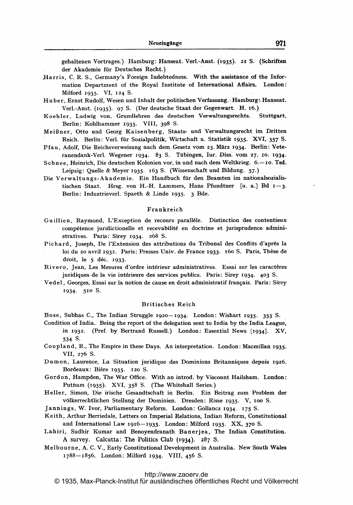gehaltenen Vortrages.) Hamburg: Hanseat. Verl.-Anst. (1935). 21 S. (Schriften der Akademie für Deutsches Recht.)

- Harris, C. R. S., Germany's Foreign Indebtedness. With the assistance of the Information Department of the Royal Institute of International Affairs. London: Milford 1935. VI, 124 S.
- Huber, Ernst Rudolf, Wesen und Inhalt der politischen Verfassung. Hamburg: Hanseat. Verl.-Anst. (1935). 97 S. (Der deutsche Staat der Gegenwart. H. 16.)
- Koehler, Ludwig von, Grundlehren des deutschen Verwaltungsrechts. Stuttgart, Berlin: Kohlhammer 1935. VIII, 398 S.
- Meißner, Otto und Georg Kaisenberg, Staats- und Verwaltungsrecht im Dritten Reich. Berlin: Verl. für Sozialpolitik, Wirtschaft u. Statistik 1935. XVI, 357 S.
- Pfau, Adolf, Die Reichsverweisung nach dem Gesetz vom 23. März 1934. Berlin: Veteranendank-Verl. Wegener 1934. 83 S. Tübingen, Iur. Diss. vom 27. 10. 1934.
- Schnee, Heinrich, Die deutschen Kolonien vor, in und nach dem Weltkrieg. 6.- 10. Tsd. Leipzig: Quelle & Meyer 1935. 163 S. (Wissenschaft und Bildung. 57.)
- Die Verwaltungs-Akademie. Ein Handbuch für den Beamten im nationalsozialistischen Staat. Hrsg. von H.-H. Lammers, Hans Pfundtner [u. a.] Bd  $1-3$ . Berlin: Industrieverl. Spaeth & Linde 1935. 3 Bde.

## Frankreich

- Guillien, Raymond, L'Exception de recours parallèle. Distinction des contentieux compétence juridictionelle et recevabilité en doctrine et jurisprudence administratives. Paris: Sirey 1934. 268 S.
- Pichard, Joseph, De l'Extension des attributions du Tribunal des Conflits d'après la loi du 20 avril 1932. Paris: Presses Univ. de France 1933. 160 S. Paris, Thèse de droit, le 5 déc. 1933.
- Rivero, Jean, Les Mesures d'ordre intérieur administratives. Essai sur les caractères juridiques de la vie intérieure des services publics. Paris: Sirey 1934. 403 S.
- Vedel, Georges, Essai sur la notion de cause en droit administratif français. Paris: Sirey 1934. 510 S.

#### **Britisches Reich**

Bose, Subhas C., The Indian Struggle 1920-1934. London: Wishart 1935. 353 S.

- Condition of India. Being the report of the delegation sent to India by the India League, in 1932. (Pref. by Bertrand Russell.) London: Essential News [1934]. XV, 534 S.
- Coupland, R., The Empire in these Days. An interpretation. London: Macmillan 1935. VII, 276 S.
- Dumon, Laurence, La Situation juridique des Dominions Britanniques depuis 1926. Bordeaux: Bière 1935. 120 S.

Gordon, Hampden, The War Office. With an introd. by Viscount Hailsham. London: Putnam (1935). XVI, 358 S. (The Whitehall Series.)

Heller, Simon, Die irische Gesandtschaft in Berlin. Ein Beitrag zum Problem der völkerrechtlichen Stellung der Dominien. Dresden: Risse 1935. V, 100 S.

Jannings, W. Ivor, Parliamentary Reform. London: Gollancz 1934. 175 S.

- Keith, Arthur Berriedale, Letters on Imperial Relations, Indian Reform, Constitutional and International Law 1916-1935. London: Milford 1935. XX, 370 S.
- Lahiri, Sudhir Kumar and Benoyendranath Banerjea, The Indian Constitution. A survey. Calcutta: The Politics Club (1934). 287 S.
- Melbourne, A. C. V., Early Constitutional Development in Australia. New South Wales 1788-1856. London: Milford 1934. VIII, 456 S.

© 1935. Max-Planck-Institut für ausländisches öffentliches Recht und Völkerrecht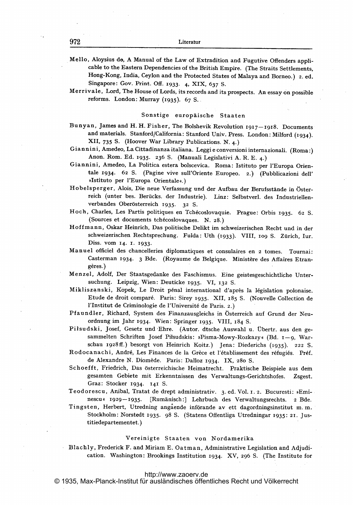Mello, Aloysius do, A Manual of the Law of Extradition and Fugutive Offenders appli cable to the Eastern Dependencies of the British Empire. (The Straits Settlements, Hong-Kong, India, Ceylon and the Protected States of Malaya and Borneo.) 2. ed. Singapore: Gov. Print. Off. 1933. 4, XIX, 637 S.

Merrivale, Lord, The House of Lords, its records and its prospects. An-essay on possible reforms. London: Murray  $(1935)$ . 67 S.

## Sonstige europäische Staaten

- Bunyan, James and H. H. Fisher, The Bolshevik Revolution 1917-1918. Documents and materials. Stanford/California: Stanford Univ. Press. London: Milford (1934).<br>XII, 735 S. (Hoover War Library Publications. N. 4.)
- Giannini, Amedeo, La Cittadinanza italiana. Leggi e conversioni internazionali. (Roma:)<br>Anon. Rom. Ed. 1935. 236 S. (Manuali Legislativi A. R. E. 4.)
- Giannini, Amedeo, La Politica estera bolscevica. Roma: Istituto per l'Europa Orientale 1934. <sup>62</sup> S. (Pagine vive sull'Oriente Europeo. 2.) (Pubblicazioni dell' »Istituto per l'Europa Orientale«.)
- Hobelsperger, Alois, Die neue Verfassung und der Aufbau der Berufsstände in Österreich (unter bes. Berücks. der Industrie). Linz: Selbstverl. des Industriellenverbandes Oberösterreich 1935. 32 S.
- Hoch, Charles, Les Partis politiques en Tchécoslovaquie. Prague: Orbis 1935. 62 S. (Sources et documents tch6coslovaques. N. 28.)
- Hoffmann, Oskar Heinrich, Das politische Delikt im schweizerischen Recht und in der schweizerischen Rechtsprechung. Fulda: Uth (1933). VIII, 109 S, Zürich, Iur. Diss. vom 14. 1. 1933.
- Manuel officiel des chancelleries diplomatiques et consulaires en <sup>2</sup> tomes. Tournai: Casterman 1934. 3 Bde. (Royaume de Belgique. Ministère des Affaires Etrangères.)
- Menzel, Adolf, Der Staatsgedanke des Faschismus. Eine geistesgeschichtliche Untersuchung. Leipzig, Wien: Deuticke 1935. VI, <sup>132</sup> S.
- Mikliszanski, Kopek, Le Droit pénal international d'après la législation polonaise. Etude de droit comparé. Paris: Sirey 1935. XII, 185 S. (Nouvelle Collection de l'Institut de Criminologie de l'Université de Paris. 2.)
- Pfaundler, Richard, System des Finanzausgleichs in Osterreich auf Grund der Neuordnung im Jahr 1934. Wien: Springer 1935. VIII, 184 S.
- Piłsudski, Josef, Gesetz und Ehre. (Autor. dtsche Auswahl u. Übertr. aus den gesammelten Schriften Josef Piłsudskis: »Pisma-Mowy-Rozkazy« (Bd. 1-9, Warschau 1928ff.) besorgt von Heinrich Koitz.) Jena: Diederichs (1935). 222 S.
- Rodocanachi, André, Les Finances de la Grèce et l'établissement des réfugiés. Préf. de Alexandre N. Diomède. Paris: Dalloz 1934. IX, 280 S.
- Schoefft, Friedrich, Das österreichische Heimatrecht. Praktische Beispiele aus dem gesamten Gebiete mit Erkenntnissen des Verwaltungs-Gerichtshofes. Zsgest. Graz: Stocker 1934. 141 S.
- Teodorescu, Anibal, Tratat de drept administrativ. 3. ed. Vol. 1. 2. Bucuresti: »Eminescu « 1929-1935. [Rumänisch:] Lehrbuch des Verwaltungsrechts. 2 Bde.
- Tingsten, Herbert, Utredning angående införande av ett dagordningsinstitut m.m. Stockholm: Norstedt 1935. 98 S. (Statens Offentliga Utredningar 1935: 21. Justitiedepartementet.)

## Vereinigte Staaten von Nordamerika

Blachly, Frederick F. and Miriam E. Oatman, Administrative Legislation and Adjudication. Washington: Brookings Institution 1934. XV, 296 S. (The Institute for

## <http://www.zaoerv.de>

© 1935, Max-Planck-Institut für ausländisches öffentliches Recht und Völkerrecht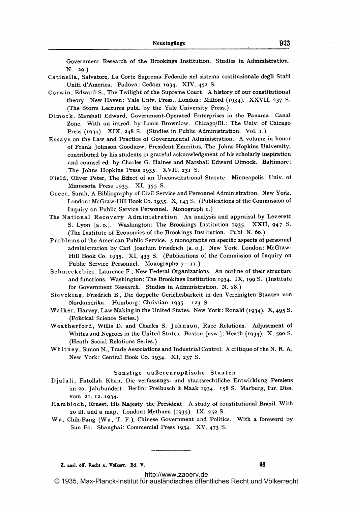Government Research of the, Brookings Institution. Studies in Administration. N. 29.)

- Catinella, Salvatore, La. Corte Suprema Federale nel sisterna costituzionale degli Stati Uniti d'America. Padova: Cedam 1934. XIV, 452 S.
- Corwin, Edward S., The Twilight of the Supreme Court. A history of our constitutional theory. New Haven: Yale Univ. Press., London: Milford (1934). XXVII, 237 S. (The Storrs Lectures publ. by the Yale University Press.)
- Dimock, Marshall Edward, Government-Operated Enterprises in the Panama Canal Zone. With an introd. by Louis Brownlow. Chicago/Ill.: The Univ. of Chicago Press (1934). XIX, 248 S. (Studies in Public Administration. Vol. 1.)
- Essays on the Law and Practice of Governmental Administration. A volume in honor of Frank Johnson Goodnow, President Emeritus, The Johns Hopkins University, contributed by his students in grateful acknowledgment of his scholarly inspiration and counsel ed. by Charles G. Haines and Marshall Edward Dimock. Baltimore: The Johns Hopkins Press 1935. XVII, <sup>231</sup> S.
- Field, Oliver Peter, The Effect of an Unconstitutional Statute. Minneapolis: Univ. of Minnesota Press 1935. XI, 355 S.
- Greer, Sarah, A Bibliography of Civil Service and Personnel Administration. New York, London: McGraw-Hill Book Co. 1935. X, 143 S. (Publications of the Commission of Inquiry on Public Service Personnel. Monograph i.)
- The National Recovery Administration. An analysis and appraisal by Leverett S. Lyon [a. o.]. Washington: The Brookings Institution 1935. XXII, 947 S. (The Institute of Economics of the Brookings Institution. Publ. N. 6o.)
- Problems of the American Public Service. <sup>5</sup> monographs on specific aspects of personnel administration by Carl Joachim Friedrich [a. o.], New York, London: McGraw-Hill Book Co. 1935. XI, 433 S. (Publications of the Commission of Inquiry on Public Service Personnel. Monographs  $7-11$ .)
- Schmeckebier, Laurence F., New Federal Organizations. An outline of their structure and functions. Washington: The Brookings Institution 1934. IX, <sup>199</sup> S. (Institute for Government Research. Studies in Administration. N. 28.)
- Sieveking, Friedrich B., Die doppelte Gerichtsbarkeit in den Vereinigten Staaten von Nordamerika. Hamburg: Christian 1935. 123 S.
- Walker, Harvey, Law Making in the United States. New York: Ronald (1934). X, 495 S. (Political Science Series.)
- Weatherford, Willis D. and Charles S. Johnson, Race Relations. Adjustment of Whites and Negroes in the United States. Boston [usw.]: Heath (1934). X, 590 S. (Heath Social Relations Series.)
- Whitney, Simon N., Trade Associations and Industrial Control. A critique of the N.R.A. New York: Central Book Co. 1934. XI, <sup>237</sup> S.

## Sonstige außereuropäische Staaten

Djalali, Fatollah Khan, Die verfassungs- und staatsrechtliche Entwicklung Persiens im 20. Jahrhundert. Berlin: Preibusch & Maak 1934. 158 S. Marburg, Iur. Diss. VOM 21. 12. 1934-

Hambloch, Ernest, His Majesty the President. A study of constitutional Brazil. With 20 ill. and <sup>a</sup> map. London: Methuen (1935). IX, <sup>252</sup> S.

Wu, Chih-Fang (Wu, T. F.), Chinese Government and Politics. With <sup>a</sup> foreword by Sun Fo. Shanghai: Commercial Press 1934. XV, 473 S.

Z. ausl. off. Recht u. Volkerr. Bd. V. 63

<http://www.zaoerv.de> © 1935, Max-Planck-Institut für ausländisches öffentliches Recht und Völkerrecht